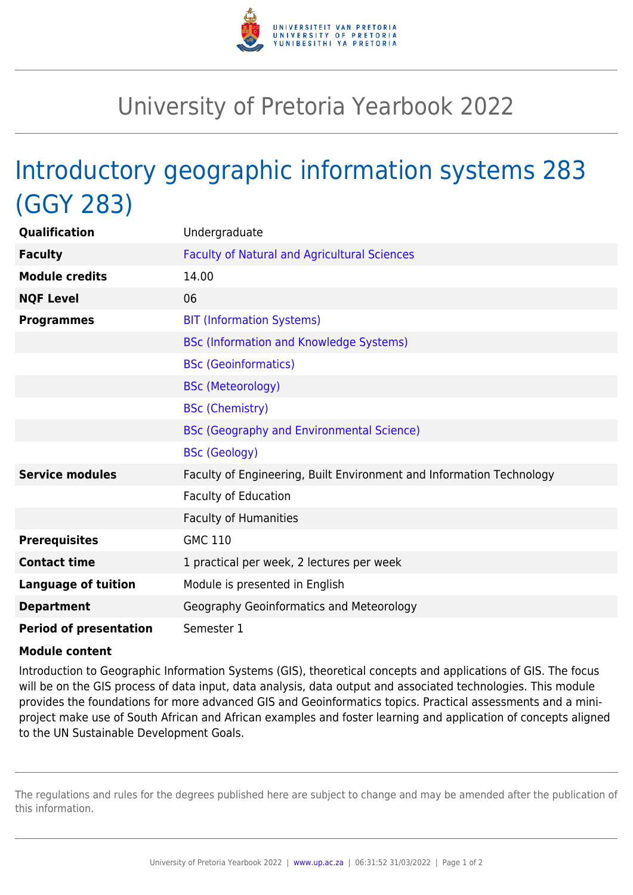

## University of Pretoria Yearbook 2022

## Introductory geographic information systems 283 (GGY 283)

| Qualification                 | Undergraduate                                                        |
|-------------------------------|----------------------------------------------------------------------|
| <b>Faculty</b>                | <b>Faculty of Natural and Agricultural Sciences</b>                  |
| <b>Module credits</b>         | 14.00                                                                |
| <b>NQF Level</b>              | 06                                                                   |
| <b>Programmes</b>             | <b>BIT (Information Systems)</b>                                     |
|                               | <b>BSc (Information and Knowledge Systems)</b>                       |
|                               | <b>BSc (Geoinformatics)</b>                                          |
|                               | <b>BSc (Meteorology)</b>                                             |
|                               | <b>BSc (Chemistry)</b>                                               |
|                               | <b>BSc (Geography and Environmental Science)</b>                     |
|                               | <b>BSc (Geology)</b>                                                 |
| <b>Service modules</b>        | Faculty of Engineering, Built Environment and Information Technology |
|                               | <b>Faculty of Education</b>                                          |
|                               | <b>Faculty of Humanities</b>                                         |
| <b>Prerequisites</b>          | <b>GMC 110</b>                                                       |
| <b>Contact time</b>           | 1 practical per week, 2 lectures per week                            |
| <b>Language of tuition</b>    | Module is presented in English                                       |
| <b>Department</b>             | Geography Geoinformatics and Meteorology                             |
| <b>Period of presentation</b> | Semester 1                                                           |

## **Module content**

Introduction to Geographic Information Systems (GIS), theoretical concepts and applications of GIS. The focus will be on the GIS process of data input, data analysis, data output and associated technologies. This module provides the foundations for more advanced GIS and Geoinformatics topics. Practical assessments and a miniproject make use of South African and African examples and foster learning and application of concepts aligned to the UN Sustainable Development Goals.

The regulations and rules for the degrees published here are subject to change and may be amended after the publication of this information.